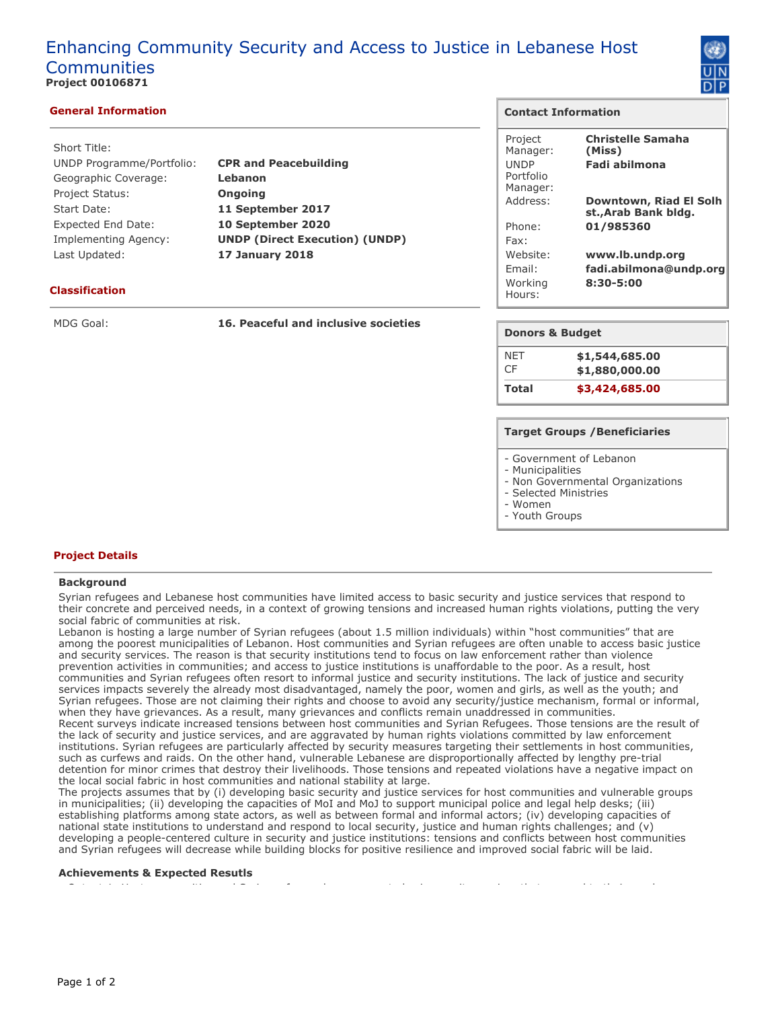# Enhancing Community Security and Access to Justice in Lebanese Host Communities **Project 00106871**



# **General Information**

| Short Title:                |                                       |
|-----------------------------|---------------------------------------|
| UNDP Programme/Portfolio:   | <b>CPR and Peacebuilding</b>          |
| Geographic Coverage:        | Lebanon                               |
| <b>Project Status:</b>      | <b>Ongoing</b>                        |
| Start Date:                 | 11 September 2017                     |
| <b>Expected End Date:</b>   | 10 September 2020                     |
| <b>Implementing Agency:</b> | <b>UNDP (Direct Execution) (UNDP)</b> |
| Last Updated:               | <b>17 January 2018</b>                |
|                             |                                       |

# **Classification**

MDG Goal: **16. Peaceful and inclusive societies**

# **Contact Information**

| Project<br>Manager:<br><b>UNDP</b><br>Portfolio<br>Manager: | <b>Christelle Samaha</b><br>(Miss)<br>Fadi abilmona |
|-------------------------------------------------------------|-----------------------------------------------------|
| Address:                                                    | Downtown, Riad El Solh<br>st., Arab Bank bldg.      |
| Phone:                                                      | 01/985360                                           |
| Fax:                                                        |                                                     |
| Website:<br>Fmail:                                          | www.lb.undp.org<br>fadi.abilmona@undp.org           |
| Working<br>Hours:                                           | $8:30 - 5:00$                                       |

# **Donors & Budget**

| NFT   | \$1,544,685.00 |
|-------|----------------|
| CF.   | \$1,880,000.00 |
| Total | \$3,424,685.00 |

## **Target Groups /Beneficiaries**

- Government of Lebanon

- Municipalities
- Non Governmental Organizations
- Selected Ministries
- Women
- Youth Groups

# **Project Details**

## **Background**

Syrian refugees and Lebanese host communities have limited access to basic security and justice services that respond to their concrete and perceived needs, in a context of growing tensions and increased human rights violations, putting the very social fabric of communities at risk.

Lebanon is hosting a large number of Syrian refugees (about 1.5 million individuals) within "host communities" that are among the poorest municipalities of Lebanon. Host communities and Syrian refugees are often unable to access basic justice and security services. The reason is that security institutions tend to focus on law enforcement rather than violence prevention activities in communities; and access to justice institutions is unaffordable to the poor. As a result, host communities and Syrian refugees often resort to informal justice and security institutions. The lack of justice and security services impacts severely the already most disadvantaged, namely the poor, women and girls, as well as the youth; and Syrian refugees. Those are not claiming their rights and choose to avoid any security/justice mechanism, formal or informal, when they have grievances. As a result, many grievances and conflicts remain unaddressed in communities. Recent surveys indicate increased tensions between host communities and Syrian Refugees. Those tensions are the result of the lack of security and justice services, and are aggravated by human rights violations committed by law enforcement institutions. Syrian refugees are particularly affected by security measures targeting their settlements in host communities, such as curfews and raids. On the other hand, vulnerable Lebanese are disproportionally affected by lengthy pre-trial detention for minor crimes that destroy their livelihoods. Those tensions and repeated violations have a negative impact on the local social fabric in host communities and national stability at large.

The projects assumes that by (i) developing basic security and justice services for host communities and vulnerable groups in municipalities; (ii) developing the capacities of MoI and MoJ to support municipal police and legal help desks; (iii) establishing platforms among state actors, as well as between formal and informal actors; (iv) developing capacities of national state institutions to understand and respond to local security, justice and human rights challenges; and (v) developing a people-centered culture in security and justice institutions: tensions and conflicts between host communities and Syrian refugees will decrease while building blocks for positive resilience and improved social fabric will be laid.

• Output 1: Host communities and Syrian refugees have access to basic security services that respond to their needs

#### **Achievements & Expected Resutls**

Page 1 of 2